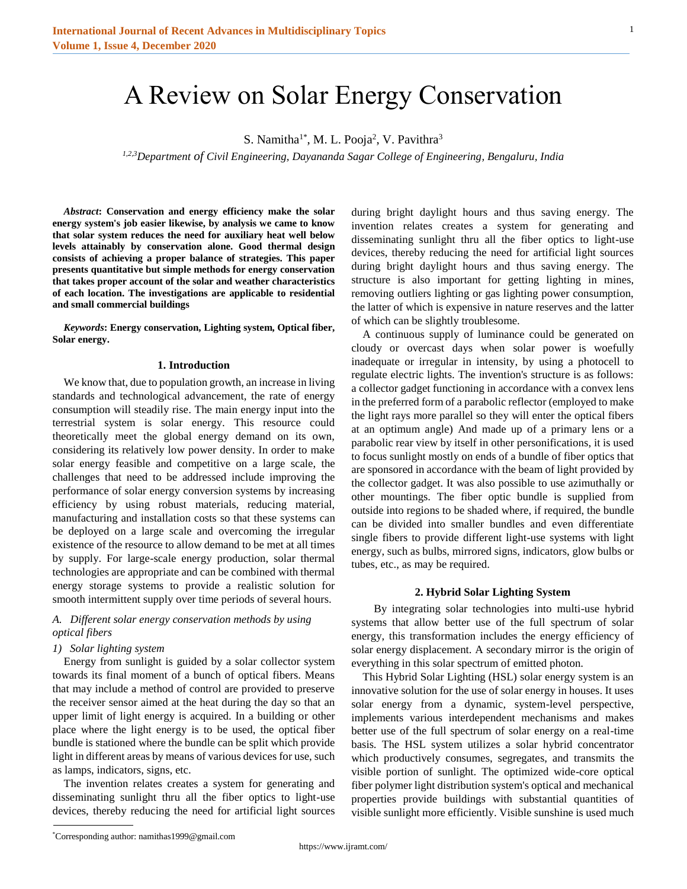# A Review on Solar Energy Conservation

S. Namitha<sup>1\*</sup>, M. L. Pooja<sup>2</sup>, V. Pavithra<sup>3</sup>

*1,2,3Department of Civil Engineering, Dayananda Sagar College of Engineering, Bengaluru, India*

*Abstract***: Conservation and energy efficiency make the solar energy system's job easier likewise, by analysis we came to know that solar system reduces the need for auxiliary heat well below levels attainably by conservation alone. Good thermal design consists of achieving a proper balance of strategies. This paper presents quantitative but simple methods for energy conservation that takes proper account of the solar and weather characteristics of each location. The investigations are applicable to residential and small commercial buildings**

*Keywords***: Energy conservation, Lighting system, Optical fiber, Solar energy.**

#### **1. Introduction**

We know that, due to population growth, an increase in living standards and technological advancement, the rate of energy consumption will steadily rise. The main energy input into the terrestrial system is solar energy. This resource could theoretically meet the global energy demand on its own, considering its relatively low power density. In order to make solar energy feasible and competitive on a large scale, the challenges that need to be addressed include improving the performance of solar energy conversion systems by increasing efficiency by using robust materials, reducing material, manufacturing and installation costs so that these systems can be deployed on a large scale and overcoming the irregular existence of the resource to allow demand to be met at all times by supply. For large-scale energy production, solar thermal technologies are appropriate and can be combined with thermal energy storage systems to provide a realistic solution for smooth intermittent supply over time periods of several hours.

## *A. Different solar energy conservation methods by using optical fibers*

## *1) Solar lighting system*

Energy from sunlight is guided by a solar collector system towards its final moment of a bunch of optical fibers. Means that may include a method of control are provided to preserve the receiver sensor aimed at the heat during the day so that an upper limit of light energy is acquired. In a building or other place where the light energy is to be used, the optical fiber bundle is stationed where the bundle can be split which provide light in different areas by means of various devices for use, such as lamps, indicators, signs, etc.

The invention relates creates a system for generating and disseminating sunlight thru all the fiber optics to light-use devices, thereby reducing the need for artificial light sources during bright daylight hours and thus saving energy. The invention relates creates a system for generating and disseminating sunlight thru all the fiber optics to light-use devices, thereby reducing the need for artificial light sources during bright daylight hours and thus saving energy. The structure is also important for getting lighting in mines, removing outliers lighting or gas lighting power consumption, the latter of which is expensive in nature reserves and the latter of which can be slightly troublesome.

A continuous supply of luminance could be generated on cloudy or overcast days when solar power is woefully inadequate or irregular in intensity, by using a photocell to regulate electric lights. The invention's structure is as follows: a collector gadget functioning in accordance with a convex lens in the preferred form of a parabolic reflector (employed to make the light rays more parallel so they will enter the optical fibers at an optimum angle) And made up of a primary lens or a parabolic rear view by itself in other personifications, it is used to focus sunlight mostly on ends of a bundle of fiber optics that are sponsored in accordance with the beam of light provided by the collector gadget. It was also possible to use azimuthally or other mountings. The fiber optic bundle is supplied from outside into regions to be shaded where, if required, the bundle can be divided into smaller bundles and even differentiate single fibers to provide different light-use systems with light energy, such as bulbs, mirrored signs, indicators, glow bulbs or tubes, etc., as may be required.

### **2. Hybrid Solar Lighting System**

By integrating solar technologies into multi-use hybrid systems that allow better use of the full spectrum of solar energy, this transformation includes the energy efficiency of solar energy displacement. A secondary mirror is the origin of everything in this solar spectrum of emitted photon.

This Hybrid Solar Lighting (HSL) solar energy system is an innovative solution for the use of solar energy in houses. It uses solar energy from a dynamic, system-level perspective, implements various interdependent mechanisms and makes better use of the full spectrum of solar energy on a real-time basis. The HSL system utilizes a solar hybrid concentrator which productively consumes, segregates, and transmits the visible portion of sunlight. The optimized wide-core optical fiber polymer light distribution system's optical and mechanical properties provide buildings with substantial quantities of visible sunlight more efficiently. Visible sunshine is used much

<sup>\*</sup>Corresponding author: namithas1999@gmail.com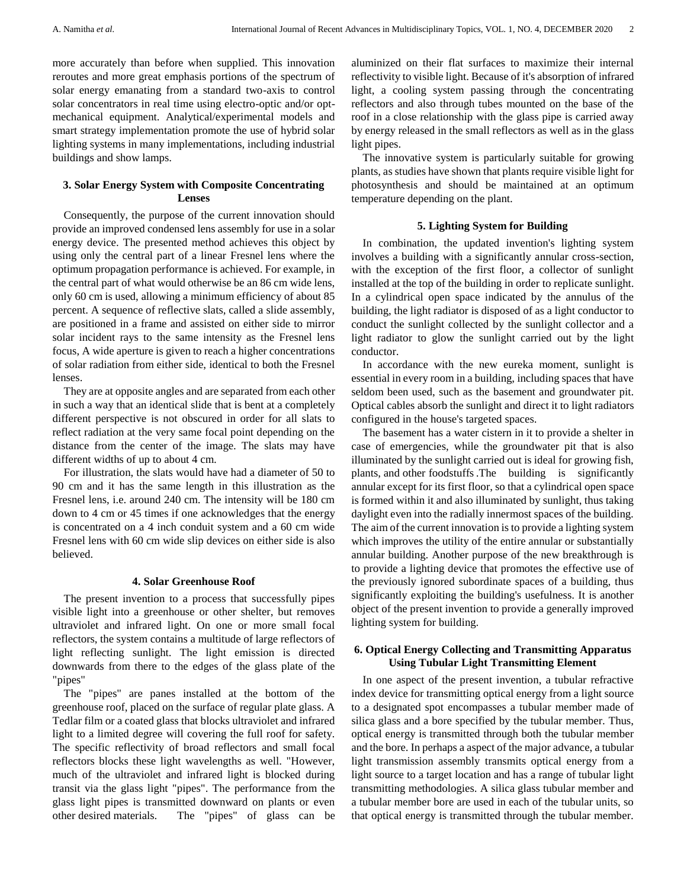more accurately than before when supplied. This innovation reroutes and more great emphasis portions of the spectrum of solar energy emanating from a standard two-axis to control solar concentrators in real time using electro-optic and/or optmechanical equipment. Analytical/experimental models and smart strategy implementation promote the use of hybrid solar lighting systems in many implementations, including industrial buildings and show lamps.

# **3. Solar Energy System with Composite Concentrating Lenses**

Consequently, the purpose of the current innovation should provide an improved condensed lens assembly for use in a solar energy device. The presented method achieves this object by using only the central part of a linear Fresnel lens where the optimum propagation performance is achieved. For example, in the central part of what would otherwise be an 86 cm wide lens, only 60 cm is used, allowing a minimum efficiency of about 85 percent. A sequence of reflective slats, called a slide assembly, are positioned in a frame and assisted on either side to mirror solar incident rays to the same intensity as the Fresnel lens focus, A wide aperture is given to reach a higher concentrations of solar radiation from either side, identical to both the Fresnel lenses.

They are at opposite angles and are separated from each other in such a way that an identical slide that is bent at a completely different perspective is not obscured in order for all slats to reflect radiation at the very same focal point depending on the distance from the center of the image. The slats may have different widths of up to about 4 cm.

For illustration, the slats would have had a diameter of 50 to 90 cm and it has the same length in this illustration as the Fresnel lens, i.e. around 240 cm. The intensity will be 180 cm down to 4 cm or 45 times if one acknowledges that the energy is concentrated on a 4 inch conduit system and a 60 cm wide Fresnel lens with 60 cm wide slip devices on either side is also believed.

### **4. Solar Greenhouse Roof**

The present invention to a process that successfully pipes visible light into a greenhouse or other shelter, but removes ultraviolet and infrared light. On one or more small focal reflectors, the system contains a multitude of large reflectors of light reflecting sunlight. The light emission is directed downwards from there to the edges of the glass plate of the "pipes"

The "pipes" are panes installed at the bottom of the greenhouse roof, placed on the surface of regular plate glass. A Tedlar film or a coated glass that blocks ultraviolet and infrared light to a limited degree will covering the full roof for safety. The specific reflectivity of broad reflectors and small focal reflectors blocks these light wavelengths as well. "However, much of the ultraviolet and infrared light is blocked during transit via the glass light "pipes". The performance from the glass light pipes is transmitted downward on plants or even other desired materials. The "pipes" of glass can be

aluminized on their flat surfaces to maximize their internal reflectivity to visible light. Because of it's absorption of infrared light, a cooling system passing through the concentrating reflectors and also through tubes mounted on the base of the roof in a close relationship with the glass pipe is carried away by energy released in the small reflectors as well as in the glass light pipes.

The innovative system is particularly suitable for growing plants, as studies have shown that plants require visible light for photosynthesis and should be maintained at an optimum temperature depending on the plant.

#### **5. Lighting System for Building**

In combination, the updated invention's lighting system involves a building with a significantly annular cross-section, with the exception of the first floor, a collector of sunlight installed at the top of the building in order to replicate sunlight. In a cylindrical open space indicated by the annulus of the building, the light radiator is disposed of as a light conductor to conduct the sunlight collected by the sunlight collector and a light radiator to glow the sunlight carried out by the light conductor.

In accordance with the new eureka moment, sunlight is essential in every room in a building, including spaces that have seldom been used, such as the basement and groundwater pit. Optical cables absorb the sunlight and direct it to light radiators configured in the house's targeted spaces.

The basement has a water cistern in it to provide a shelter in case of emergencies, while the groundwater pit that is also illuminated by the sunlight carried out is ideal for growing fish, plants, and other foodstuffs.The building is significantly annular except for its first floor, so that a cylindrical open space is formed within it and also illuminated by sunlight, thus taking daylight even into the radially innermost spaces of the building. The aim of the current innovation is to provide a lighting system which improves the utility of the entire annular or substantially annular building. Another purpose of the new breakthrough is to provide a lighting device that promotes the effective use of the previously ignored subordinate spaces of a building, thus significantly exploiting the building's usefulness. It is another object of the present invention to provide a generally improved lighting system for building.

## **6. Optical Energy Collecting and Transmitting Apparatus Using Tubular Light Transmitting Element**

In one aspect of the present invention, a tubular refractive index device for transmitting optical energy from a light source to a designated spot encompasses a tubular member made of silica glass and a bore specified by the tubular member. Thus, optical energy is transmitted through both the tubular member and the bore. In perhaps a aspect of the major advance, a tubular light transmission assembly transmits optical energy from a light source to a target location and has a range of tubular light transmitting methodologies. A silica glass tubular member and a tubular member bore are used in each of the tubular units, so that optical energy is transmitted through the tubular member.